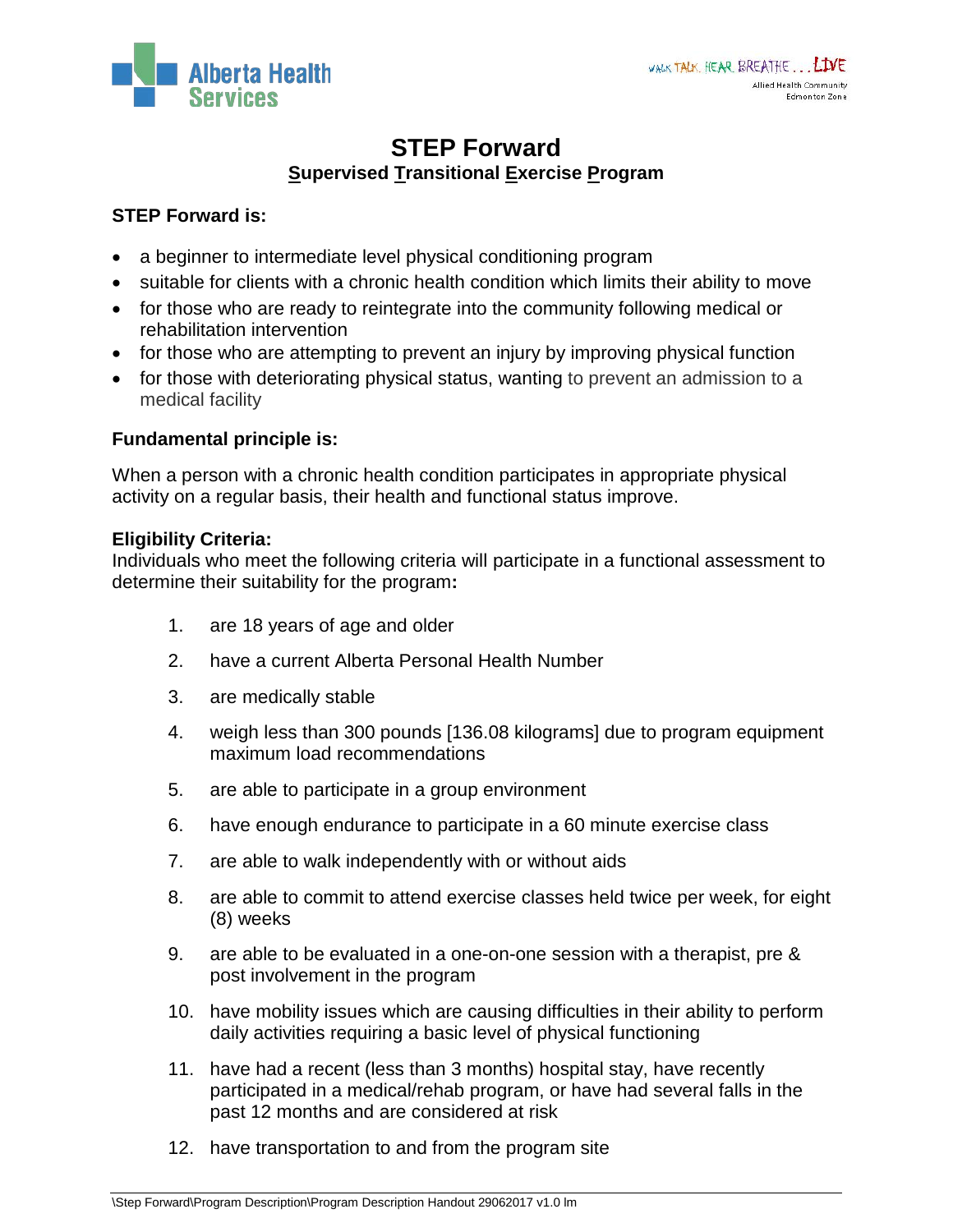

# **STEP Forward Supervised Transitional Exercise Program**

## **STEP Forward is:**

- a beginner to intermediate level physical conditioning program
- suitable for clients with a chronic health condition which limits their ability to move
- for those who are ready to reintegrate into the community following medical or rehabilitation intervention
- for those who are attempting to prevent an injury by improving physical function
- for those with deteriorating physical status, wanting to prevent an admission to a medical facility

## **Fundamental principle is:**

When a person with a chronic health condition participates in appropriate physical activity on a regular basis, their health and functional status improve.

#### **Eligibility Criteria:**

Individuals who meet the following criteria will participate in a functional assessment to determine their suitability for the program**:**

- 1. are 18 years of age and older
- 2. have a current Alberta Personal Health Number
- 3. are medically stable
- 4. weigh less than 300 pounds [136.08 kilograms] due to program equipment maximum load recommendations
- 5. are able to participate in a group environment
- 6. have enough endurance to participate in a 60 minute exercise class
- 7. are able to walk independently with or without aids
- 8. are able to commit to attend exercise classes held twice per week, for eight (8) weeks
- 9. are able to be evaluated in a one-on-one session with a therapist, pre & post involvement in the program
- 10. have mobility issues which are causing difficulties in their ability to perform daily activities requiring a basic level of physical functioning
- 11. have had a recent (less than 3 months) hospital stay, have recently participated in a medical/rehab program, or have had several falls in the past 12 months and are considered at risk
- 12. have transportation to and from the program site